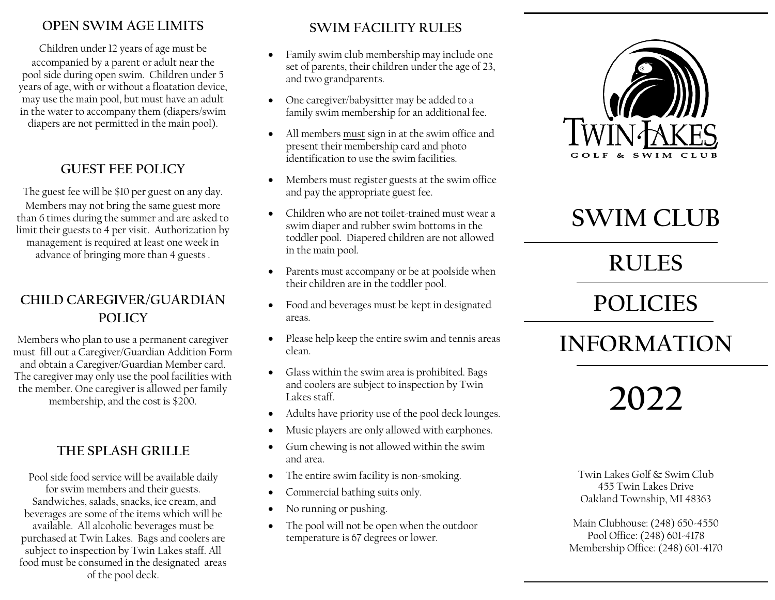### **OPEN SWIM AGE LIMITS**

Children under 12 years of age must be accompanied by a parent or adult near the pool side during open swim. Children under 5 years of age, with or without a floatation device, may use the main pool, but must have an adult in the water to accompany them (diapers/swim diapers are not permitted in the main pool).

### **GUEST FEE POLICY**

The guest fee will be \$10 per guest on any day. Members may not bring the same guest more than 6 times during the summer and are asked to limit their guests to 4 per visit. Authorization by management is required at least one week in advance of bringing more than 4 guests .

# **CHILD CAREGIVER/GUARDIAN POLICY**

Members who plan to use a permanent caregiver must fill out a Caregiver/Guardian Addition Form and obtain a Caregiver/Guardian Member card. The caregiver may only use the pool facilities with the member. One caregiver is allowed per family membership, and the cost is \$200.

## **THE SPLASH GRILLE**

Pool side food service will be available daily for swim members and their guests. Sandwiches, salads, snacks, ice cream, and beverages are some of the items which will be available. All alcoholic beverages must be purchased at Twin Lakes. Bags and coolers are subject to inspection by Twin Lakes staff. All food must be consumed in the designated areas of the pool deck.

## **SWIM FACILITY RULES**

- Family swim club membership may include one set of parents, their children under the age of 23, and two grandparents.
- One caregiver/babysitter may be added to a family swim membership for an additional fee.
- All members must sign in at the swim office and present their membership card and photo identification to use the swim facilities.
- Members must register guests at the swim office and pay the appropriate guest fee.
- Children who are not toilet-trained must wear a swim diaper and rubber swim bottoms in the toddler pool. Diapered children are not allowed in the main pool.
- Parents must accompany or be at poolside when their children are in the toddler pool.
- Food and beverages must be kept in designated areas.
- Please help keep the entire swim and tennis areas clean.
- Glass within the swim area is prohibited. Bags and coolers are subject to inspection by Twin Lakes staff.
- Adults have priority use of the pool deck lounges.
- Music players are only allowed with earphones.
- Gum chewing is not allowed within the swim and area.
- The entire swim facility is non-smoking.
- Commercial bathing suits only.
- No running or pushing.
- The pool will not be open when the outdoor temperature is 67 degrees or lower.



# **SWIM CLUB**

# **RULES**

# **POLICIES**

# **INFORMATION**

**2022**

Twin Lakes Golf & Swim Club 455 Twin Lakes Drive Oakland Township, MI 48363

Main Clubhouse: (248) 650-4550 Pool Office: (248) 601-4178 Membership Office: (248) 601-4170